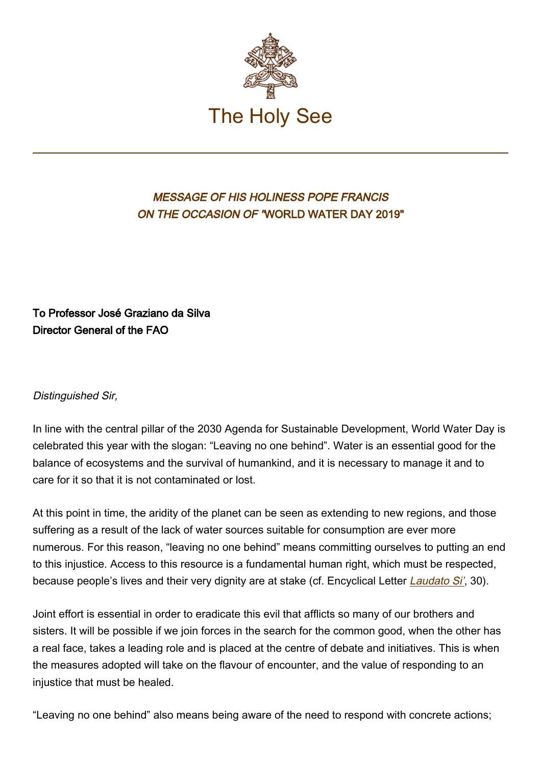

## MESSAGE OF HIS HOLINESS POPE FRANCIS ON THE OCCASION OF "WORLD WATER DAY 2019"

## To Professor José Graziano da Silva Director General of the FAO

## Distinguished Sir,

In line with the central pillar of the 2030 Agenda for Sustainable Development, World Water Day is celebrated this year with the slogan: "Leaving no one behind". Water is an essential good for the balance of ecosystems and the survival of humankind, and it is necessary to manage it and to care for it so that it is not contaminated or lost.

At this point in time, the aridity of the planet can be seen as extending to new regions, and those suffering as a result of the lack of water sources suitable for consumption are ever more numerous. For this reason, "leaving no one behind" means committing ourselves to putting an end to this injustice. Access to this resource is a fundamental human right, which must be respected, because people's lives and their very dignity are at stake (cf. Encyclical Letter *[Laudato Si'](http://w2.vatican.va/content/dam/francesco/messages/pont-messages/2019/documents/Laudato%20si�)*, 30).

Joint effort is essential in order to eradicate this evil that afflicts so many of our brothers and sisters. It will be possible if we join forces in the search for the common good, when the other has a real face, takes a leading role and is placed at the centre of debate and initiatives. This is when the measures adopted will take on the flavour of encounter, and the value of responding to an injustice that must be healed.

"Leaving no one behind" also means being aware of the need to respond with concrete actions;